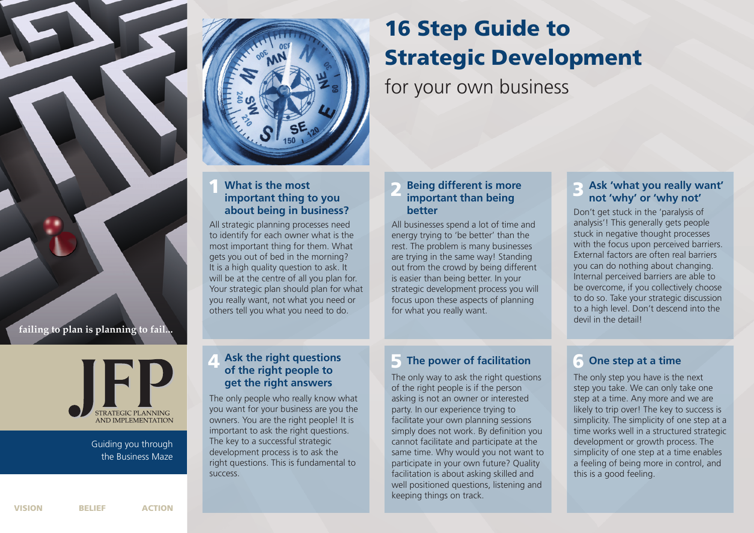

**failing to plan is planning to fail...**



Guiding you through the Business Maze



#### **1 2 3 Being different is more What is the most important thing to you about being in business?**

All strategic planning processes need to identify for each owner what is the most important thing for them. What gets you out of bed in the morning? It is a high quality question to ask. It will be at the centre of all you plan for. Your strategic plan should plan for what you really want, not what you need or others tell you what you need to do.

The only people who really know what you want for your business are you the owners. You are the right people! It is important to ask the right questions. The key to a successful strategic development process is to ask the right questions. This is fundamental to

**get the right answers**

success.

# **16 Step Guide to Strategic Development**

for your own business

### **important than being better**

All businesses spend a lot of time and energy trying to 'be better' than the rest. The problem is many businesses are trying in the same way! Standing out from the crowd by being different is easier than being better. In your strategic development process you will focus upon these aspects of planning for what you really want.

#### **Ask 'what you really want' not 'why' or 'why not'**

Don't get stuck in the 'paralysis of analysis'! This generally gets people stuck in negative thought processes with the focus upon perceived barriers. External factors are often real barriers you can do nothing about changing. Internal perceived barriers are able to be overcome, if you collectively choose to do so. Take your strategic discussion to a high level. Don't descend into the devil in the detail!

# **4 Ask the right questions 1 5 Cone step at a time of the right people to 1 Cone step at a time**

The only way to ask the right questions of the right people is if the person asking is not an owner or interested party. In our experience trying to facilitate your own planning sessions simply does not work. By definition you cannot facilitate and participate at the same time. Why would you not want to participate in your own future? Quality facilitation is about asking skilled and well positioned questions, listening and keeping things on track.

The only step you have is the next step you take. We can only take one step at a time. Any more and we are likely to trip over! The key to success is simplicity. The simplicity of one step at a time works well in a structured strategic development or growth process. The simplicity of one step at a time enables a feeling of being more in control, and this is a good feeling.